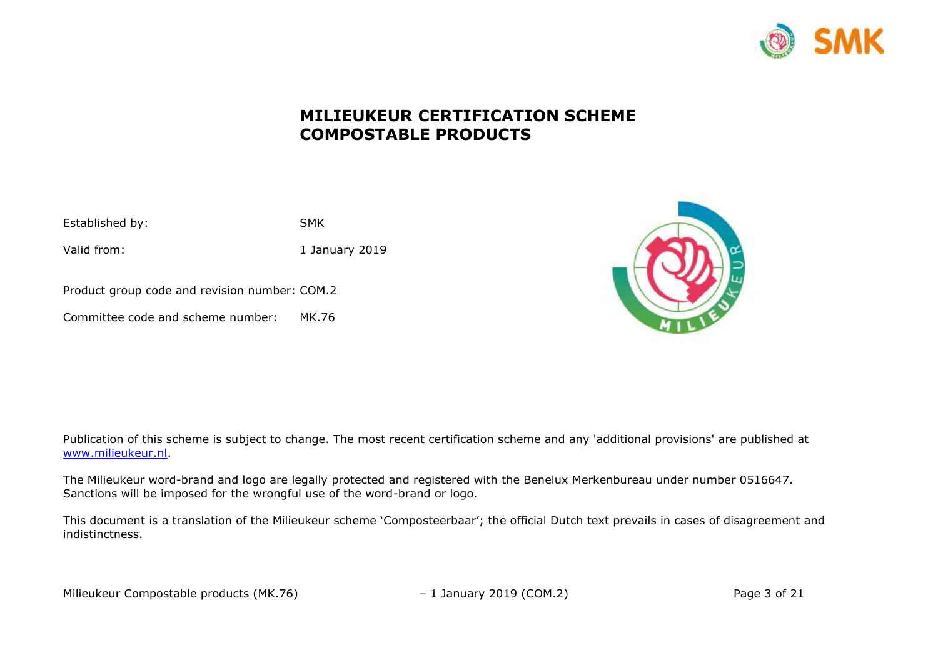

# **MILIEUKEUR CERTIFICATION SCHEME COMPOSTABLE PRODUCTS**

| Established by: | <b>SMK</b> |
|-----------------|------------|
|                 |            |

Valid from: 1 January 2019

Product group code and revision number: COM.2

Committee code and scheme number: MK.76



Publication of this scheme is subject to change. The most recent certification scheme and any 'additional provisions' are published at [www.milieukeur.nl.](http://www.milieukeur.nl/)

The Milieukeur word-brand and logo are legally protected and registered with the Benelux Merkenbureau under number 0516647. Sanctions will be imposed for the wrongful use of the word-brand or logo.

This document is a translation of the Milieukeur scheme 'Composteerbaar'; the official Dutch text prevails in cases of disagreement and indistinctness.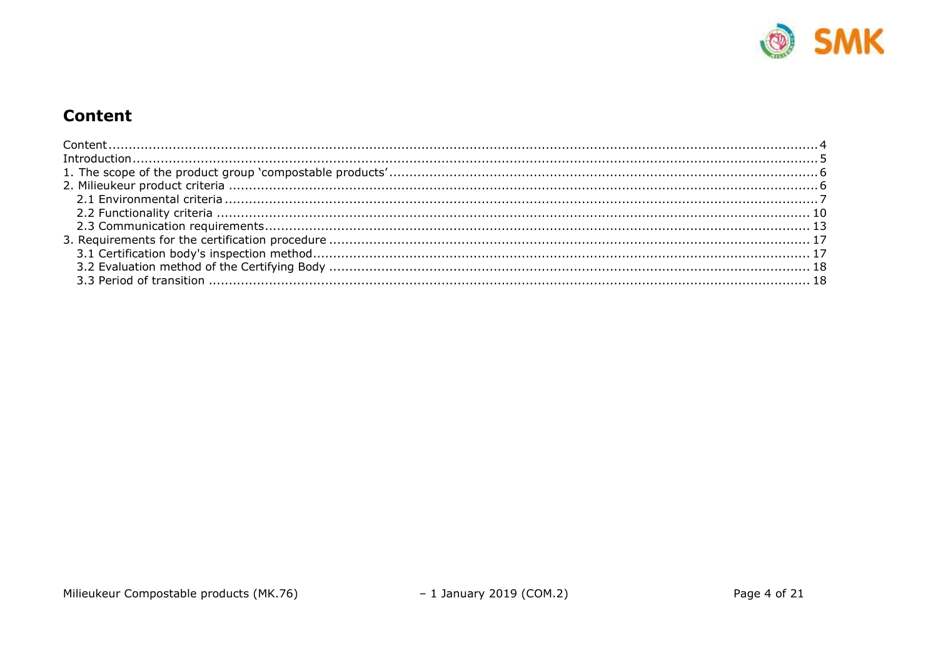

# <span id="page-1-0"></span>**Content**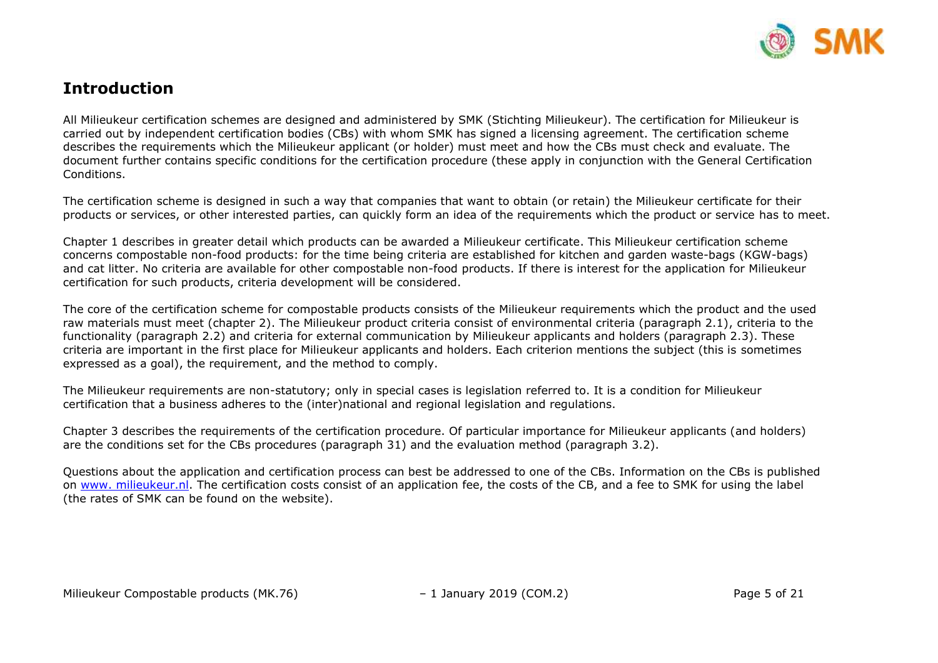

## <span id="page-2-0"></span>**Introduction**

All Milieukeur certification schemes are designed and administered by SMK (Stichting Milieukeur). The certification for Milieukeur is carried out by independent certification bodies (CBs) with whom SMK has signed a licensing agreement. The certification scheme describes the requirements which the Milieukeur applicant (or holder) must meet and how the CBs must check and evaluate. The document further contains specific conditions for the certification procedure (these apply in conjunction with the General Certification Conditions.

The certification scheme is designed in such a way that companies that want to obtain (or retain) the Milieukeur certificate for their products or services, or other interested parties, can quickly form an idea of the requirements which the product or service has to meet.

Chapter 1 describes in greater detail which products can be awarded a Milieukeur certificate. This Milieukeur certification scheme concerns compostable non-food products: for the time being criteria are established for kitchen and garden waste-bags (KGW-bags) and cat litter. No criteria are available for other compostable non-food products. If there is interest for the application for Milieukeur certification for such products, criteria development will be considered.

The core of the certification scheme for compostable products consists of the Milieukeur requirements which the product and the used raw materials must meet (chapter 2). The Milieukeur product criteria consist of environmental criteria (paragraph 2.1), criteria to the functionality (paragraph 2.2) and criteria for external communication by Milieukeur applicants and holders (paragraph 2.3). These criteria are important in the first place for Milieukeur applicants and holders. Each criterion mentions the subject (this is sometimes expressed as a goal), the requirement, and the method to comply.

The Milieukeur requirements are non-statutory; only in special cases is legislation referred to. It is a condition for Milieukeur certification that a business adheres to the (inter)national and regional legislation and regulations.

Chapter 3 describes the requirements of the certification procedure. Of particular importance for Milieukeur applicants (and holders) are the conditions set for the CBs procedures (paragraph 31) and the evaluation method (paragraph 3.2).

Questions about the application and certification process can best be addressed to one of the CBs. Information on the CBs is published on [www. milieukeur.nl.](http://www.smk.nl/) The certification costs consist of an application fee, the costs of the CB, and a fee to SMK for using the label (the rates of SMK can be found on the website).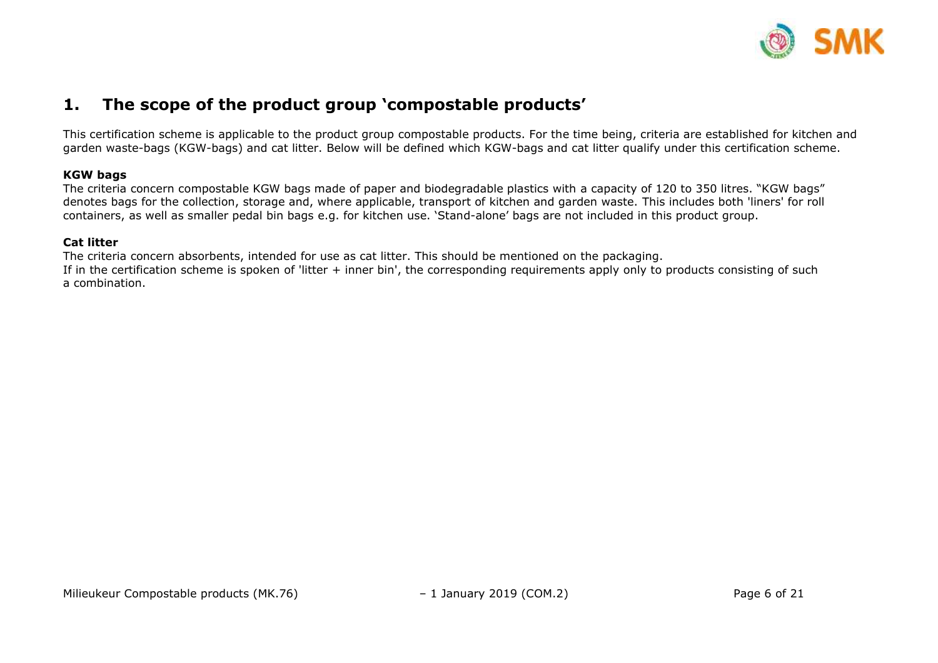

### <span id="page-3-0"></span>**1. The scope of the product group 'compostable products'**

This certification scheme is applicable to the product group compostable products. For the time being, criteria are established for kitchen and garden waste-bags (KGW-bags) and cat litter. Below will be defined which KGW-bags and cat litter qualify under this certification scheme.

#### **KGW bags**

The criteria concern compostable KGW bags made of paper and biodegradable plastics with a capacity of 120 to 350 litres. "KGW bags" denotes bags for the collection, storage and, where applicable, transport of kitchen and garden waste. This includes both 'liners' for roll containers, as well as smaller pedal bin bags e.g. for kitchen use. 'Stand-alone' bags are not included in this product group.

#### **Cat litter**

<span id="page-3-1"></span>The criteria concern absorbents, intended for use as cat litter. This should be mentioned on the packaging. If in the certification scheme is spoken of 'litter + inner bin', the corresponding requirements apply only to products consisting of such a combination.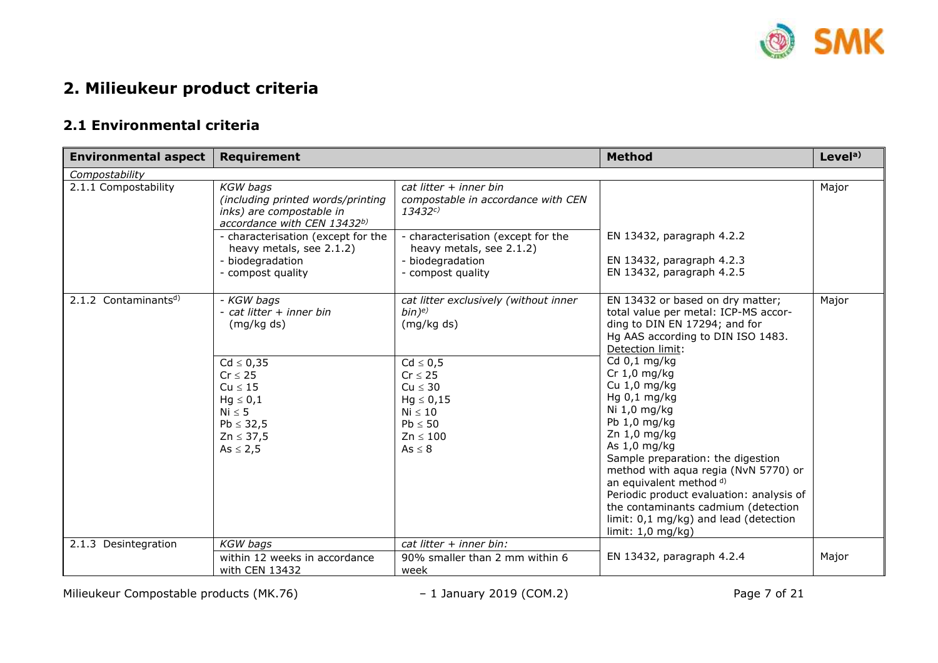

# **2. Milieukeur product criteria**

### <span id="page-4-0"></span>**2.1 Environmental criteria**

| <b>Environmental aspect</b>      | <b>Requirement</b>                                                                                                                                                                                                         |                                                                                                                                                                                                                | <b>Method</b>                                                                                                                                                                                                                                                                                                                                                                                                                                                                                                                                                     | Level <sup>a</sup> |
|----------------------------------|----------------------------------------------------------------------------------------------------------------------------------------------------------------------------------------------------------------------------|----------------------------------------------------------------------------------------------------------------------------------------------------------------------------------------------------------------|-------------------------------------------------------------------------------------------------------------------------------------------------------------------------------------------------------------------------------------------------------------------------------------------------------------------------------------------------------------------------------------------------------------------------------------------------------------------------------------------------------------------------------------------------------------------|--------------------|
| Compostability                   |                                                                                                                                                                                                                            |                                                                                                                                                                                                                |                                                                                                                                                                                                                                                                                                                                                                                                                                                                                                                                                                   |                    |
| 2.1.1 Compostability             | <b>KGW</b> bags<br>(including printed words/printing<br>inks) are compostable in<br>accordance with CEN 13432b)<br>- characterisation (except for the<br>heavy metals, see 2.1.2)<br>- biodegradation<br>- compost quality | cat litter + inner bin<br>compostable in accordance with CEN<br>13432c<br>- characterisation (except for the<br>heavy metals, see 2.1.2)<br>- biodegradation<br>- compost quality                              | EN 13432, paragraph 4.2.2<br>EN 13432, paragraph 4.2.3<br>EN 13432, paragraph 4.2.5                                                                                                                                                                                                                                                                                                                                                                                                                                                                               | Major              |
| 2.1.2 Contaminants <sup>d)</sup> | - KGW bags<br>- cat litter + inner bin<br>(mg/kg ds)<br>$Cd \leq 0,35$<br>$Cr \leq 25$<br>$Cu \leq 15$<br>$Hg \leq 0,1$<br>$Ni \leq 5$<br>$Pb \leq 32,5$<br>$Zn \leq 37,5$<br>$As \leq 2,5$                                | cat litter exclusively (without inner<br>$bin)$ <sup>e)</sup><br>(mg/kg ds)<br>$Cd \leq 0.5$<br>$Cr \leq 25$<br>$Cu \leq 30$<br>$Hg \leq 0,15$<br>$Ni \leq 10$<br>$Pb \leq 50$<br>$Zn \leq 100$<br>$As \leq 8$ | EN 13432 or based on dry matter;<br>total value per metal: ICP-MS accor-<br>ding to DIN EN 17294; and for<br>Hg AAS according to DIN ISO 1483.<br>Detection limit:<br>Cd 0,1 mg/kg<br>$Cr 1,0$ mg/kg<br>Cu 1,0 mg/kg<br>Hg $0,1$ mg/kg<br>Ni 1,0 mg/kg<br>Pb 1,0 mg/kg<br>Zn 1,0 mg/kg<br>As 1,0 mg/kg<br>Sample preparation: the digestion<br>method with aqua regia (NvN 5770) or<br>an equivalent method d)<br>Periodic product evaluation: analysis of<br>the contaminants cadmium (detection<br>limit: 0,1 mg/kg) and lead (detection<br>limit: $1,0$ mg/kg) | Major              |
| 2.1.3 Desintegration             | <b>KGW</b> bags<br>within 12 weeks in accordance<br>with CEN 13432                                                                                                                                                         | cat litter $+$ inner bin:<br>90% smaller than 2 mm within 6<br>week                                                                                                                                            | EN 13432, paragraph 4.2.4                                                                                                                                                                                                                                                                                                                                                                                                                                                                                                                                         | Major              |

Milieukeur Compostable products (MK.76) – 1 January 2019 (COM.2) – 1 January 2019 (COM.2)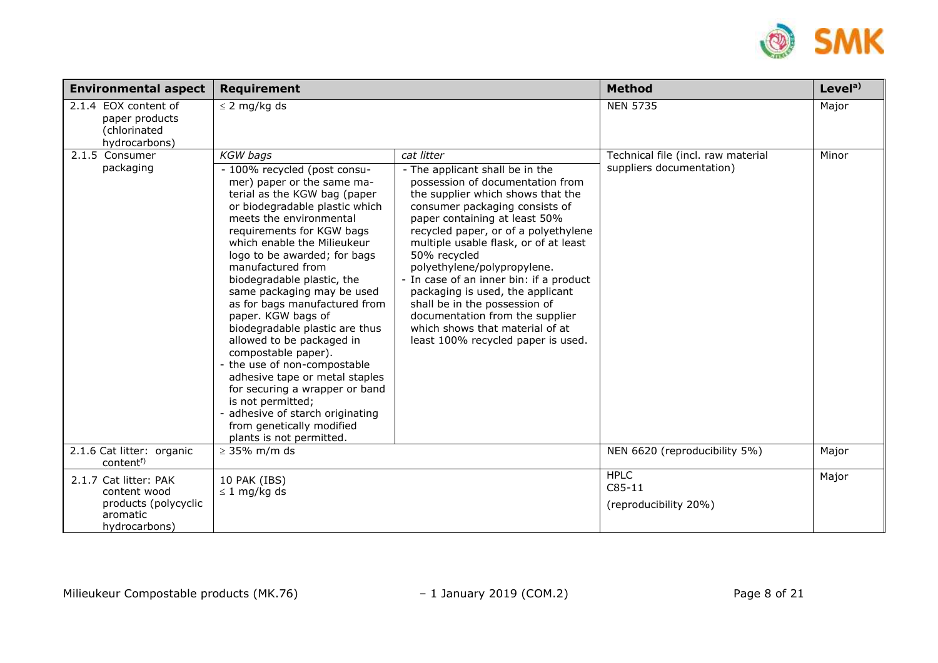

| <b>Environmental aspect</b>                                                                | <b>Requirement</b>                                                                                                                                                                                                                                                                                                                                                                                             |                                                                                                                                                                                                                                                                                                                                                                                                                                                                              | <b>Method</b>                                                  | Level <sup>a)</sup> |
|--------------------------------------------------------------------------------------------|----------------------------------------------------------------------------------------------------------------------------------------------------------------------------------------------------------------------------------------------------------------------------------------------------------------------------------------------------------------------------------------------------------------|------------------------------------------------------------------------------------------------------------------------------------------------------------------------------------------------------------------------------------------------------------------------------------------------------------------------------------------------------------------------------------------------------------------------------------------------------------------------------|----------------------------------------------------------------|---------------------|
| 2.1.4 EOX content of<br>paper products<br>(chlorinated<br>hydrocarbons)                    | $\leq$ 2 mg/kg ds                                                                                                                                                                                                                                                                                                                                                                                              |                                                                                                                                                                                                                                                                                                                                                                                                                                                                              | <b>NEN 5735</b>                                                | Major               |
| 2.1.5 Consumer<br>packaging                                                                | <b>KGW</b> bags<br>- 100% recycled (post consu-<br>mer) paper or the same ma-<br>terial as the KGW bag (paper<br>or biodegradable plastic which<br>meets the environmental<br>requirements for KGW bags<br>which enable the Milieukeur<br>logo to be awarded; for bags<br>manufactured from<br>biodegradable plastic, the<br>same packaging may be used<br>as for bags manufactured from<br>paper. KGW bags of | cat litter<br>- The applicant shall be in the<br>possession of documentation from<br>the supplier which shows that the<br>consumer packaging consists of<br>paper containing at least 50%<br>recycled paper, or of a polyethylene<br>multiple usable flask, or of at least<br>50% recycled<br>polyethylene/polypropylene.<br>- In case of an inner bin: if a product<br>packaging is used, the applicant<br>shall be in the possession of<br>documentation from the supplier | Technical file (incl. raw material<br>suppliers documentation) | Minor               |
|                                                                                            | biodegradable plastic are thus<br>allowed to be packaged in<br>compostable paper).<br>- the use of non-compostable<br>adhesive tape or metal staples<br>for securing a wrapper or band<br>is not permitted;<br>adhesive of starch originating<br>from genetically modified<br>plants is not permitted.                                                                                                         | which shows that material of at<br>least 100% recycled paper is used.                                                                                                                                                                                                                                                                                                                                                                                                        |                                                                |                     |
| 2.1.6 Cat litter: organic<br>content <sup>f)</sup>                                         | $\geq$ 35% m/m ds                                                                                                                                                                                                                                                                                                                                                                                              |                                                                                                                                                                                                                                                                                                                                                                                                                                                                              | NEN 6620 (reproducibility 5%)                                  | Major               |
| 2.1.7 Cat litter: PAK<br>content wood<br>products (polycyclic<br>aromatic<br>hydrocarbons) | 10 PAK (IBS)<br>$\leq$ 1 mg/kg ds                                                                                                                                                                                                                                                                                                                                                                              |                                                                                                                                                                                                                                                                                                                                                                                                                                                                              | <b>HPLC</b><br>$C85-11$<br>(reproducibility 20%)               | Major               |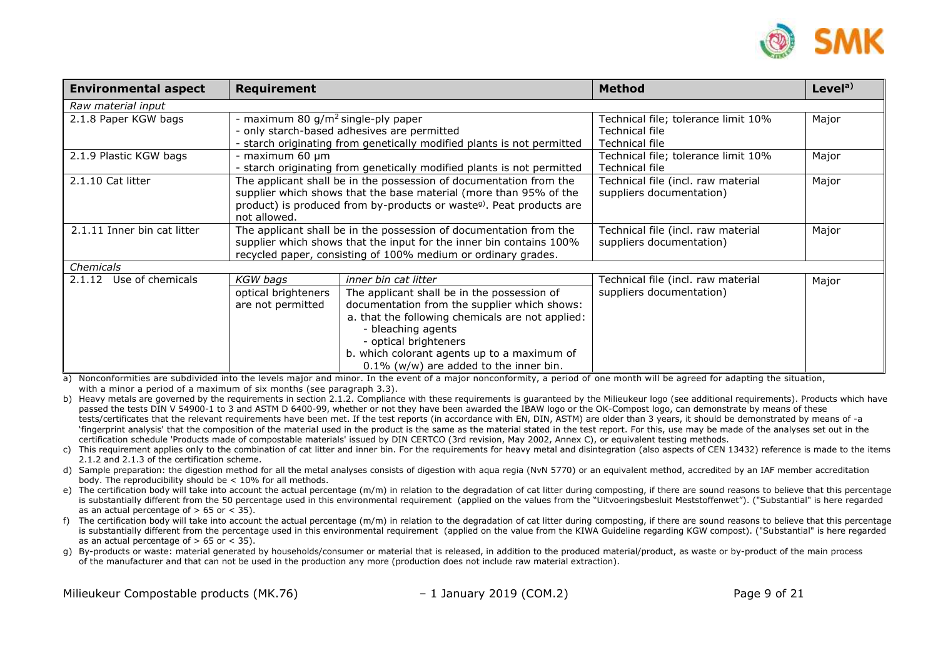

| <b>Environmental aspect</b> | Requirement                                                         |                                                                                  | <b>Method</b>                       | Level <sup>a)</sup> |
|-----------------------------|---------------------------------------------------------------------|----------------------------------------------------------------------------------|-------------------------------------|---------------------|
| Raw material input          |                                                                     |                                                                                  |                                     |                     |
| 2.1.8 Paper KGW bags        | - maximum 80 g/m <sup>2</sup> single-ply paper                      |                                                                                  | Technical file; tolerance limit 10% | Major               |
|                             |                                                                     | - only starch-based adhesives are permitted                                      | Technical file                      |                     |
|                             |                                                                     | - starch originating from genetically modified plants is not permitted           | Technical file                      |                     |
| 2.1.9 Plastic KGW bags      | - maximum 60 µm                                                     |                                                                                  | Technical file; tolerance limit 10% | Major               |
|                             |                                                                     | - starch originating from genetically modified plants is not permitted           | Technical file                      |                     |
| 2.1.10 Cat litter           |                                                                     | The applicant shall be in the possession of documentation from the               | Technical file (incl. raw material  | Major               |
|                             |                                                                     | supplier which shows that the base material (more than 95% of the                | suppliers documentation)            |                     |
|                             |                                                                     | product) is produced from by-products or waste <sup>g)</sup> . Peat products are |                                     |                     |
|                             | not allowed.                                                        |                                                                                  |                                     |                     |
| 2.1.11 Inner bin cat litter |                                                                     | The applicant shall be in the possession of documentation from the               | Technical file (incl. raw material  | Major               |
|                             | supplier which shows that the input for the inner bin contains 100% |                                                                                  | suppliers documentation)            |                     |
|                             |                                                                     | recycled paper, consisting of 100% medium or ordinary grades.                    |                                     |                     |
| Chemicals                   |                                                                     |                                                                                  |                                     |                     |
| Use of chemicals<br>2.1.12  | <b>KGW</b> bags                                                     | inner bin cat litter                                                             | Technical file (incl. raw material  | Major               |
|                             | optical brighteners                                                 | The applicant shall be in the possession of                                      | suppliers documentation)            |                     |
|                             | are not permitted                                                   | documentation from the supplier which shows:                                     |                                     |                     |
|                             |                                                                     | a. that the following chemicals are not applied:                                 |                                     |                     |
|                             |                                                                     | - bleaching agents                                                               |                                     |                     |
|                             |                                                                     | - optical brighteners                                                            |                                     |                     |
|                             |                                                                     | b. which colorant agents up to a maximum of                                      |                                     |                     |
|                             |                                                                     | $0.1\%$ (w/w) are added to the inner bin.                                        |                                     |                     |

a) Nonconformities are subdivided into the levels major and minor. In the event of a major nonconformity, a period of one month will be agreed for adapting the situation, with a minor a period of a maximum of six months (see paragraph 3.3).

b) Heavy metals are governed by the requirements in section 2.1.2. Compliance with these requirements is quaranteed by the Milieukeur logo (see additional requirements). Products which have passed the tests DIN V 54900-1 to 3 and ASTM D 6400-99, whether or not they have been awarded the IBAW logo or the OK-Compost logo, can demonstrate by means of these tests/certificates that the relevant requirements have been met. If the test reports (in accordance with EN, DIN, ASTM) are older than 3 years, it should be demonstrated by means of -a 'fingerprint analysis' that the composition of the material used in the product is the same as the material stated in the test report. For this, use may be made of the analyses set out in the certification schedule 'Products made of compostable materials' issued by DIN CERTCO (3rd revision, May 2002, Annex C), or equivalent testing methods.

- c) This requirement applies only to the combination of cat litter and inner bin. For the requirements for heavy metal and disintegration (also aspects of CEN 13432) reference is made to the items 2.1.2 and 2.1.3 of the certification scheme.
- d) Sample preparation: the digestion method for all the metal analyses consists of digestion with aqua regia (NvN 5770) or an equivalent method, accredited by an IAF member accreditation body. The reproducibility should be < 10% for all methods.
- e) The certification body will take into account the actual percentage (m/m) in relation to the degradation of cat litter during composting, if there are sound reasons to believe that this percentage is substantially different from the 50 percentage used in this environmental requirement (applied on the values from the "Uitvoeringsbesluit Meststoffenwet"). ("Substantial" is here regarded as an actual percentage of  $> 65$  or  $<$  35).
- f) The certification body will take into account the actual percentage (m/m) in relation to the degradation of cat litter during composting, if there are sound reasons to believe that this percentage is substantially different from the percentage used in this environmental requirement (applied on the value from the KIWA Guideline regarding KGW compost). ("Substantial" is here regarded as an actual percentage of  $> 65$  or  $<$  35).
- g) By-products or waste: material generated by households/consumer or material that is released, in addition to the produced material/product, as waste or by-product of the main process of the manufacturer and that can not be used in the production any more (production does not include raw material extraction).

Milieukeur Compostable products (MK.76) – 1 January 2019 (COM.2) Page 9 of 21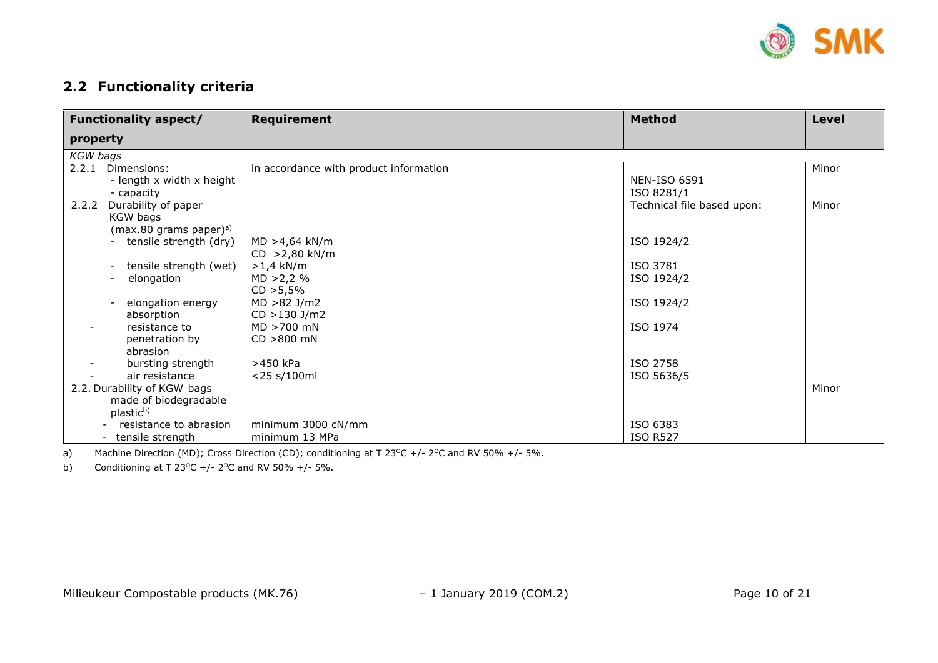

### <span id="page-7-0"></span>**2.2 Functionality criteria**

| <b>Functionality aspect/</b>                       | <b>Requirement</b>                     | <b>Method</b>              | <b>Level</b> |
|----------------------------------------------------|----------------------------------------|----------------------------|--------------|
| property                                           |                                        |                            |              |
| <b>KGW</b> bags                                    |                                        |                            |              |
| 2.2.1 Dimensions:                                  | in accordance with product information |                            | Minor        |
| - length x width x height                          |                                        | <b>NEN-ISO 6591</b>        |              |
| - capacity                                         |                                        | ISO 8281/1                 |              |
| 2.2.2<br>Durability of paper                       |                                        | Technical file based upon: | Minor        |
| KGW bags                                           |                                        |                            |              |
| (max.80 grams paper) $a$ )                         |                                        |                            |              |
| tensile strength (dry)                             | $MD > 4,64$ kN/m                       | ISO 1924/2                 |              |
|                                                    | CD > 2,80 kN/m                         |                            |              |
| tensile strength (wet)<br>$\overline{\phantom{a}}$ | $>1.4$ kN/m                            | ISO 3781                   |              |
| elongation                                         | MD > 2,2%                              | ISO 1924/2                 |              |
|                                                    | CD > 5,5%                              |                            |              |
| elongation energy<br>$\overline{\phantom{a}}$      | $MD > 82$ J/m2                         | ISO 1924/2                 |              |
| absorption                                         | $CD > 130$ J/m2                        |                            |              |
| resistance to                                      | MD >700 mN                             | ISO 1974                   |              |
| penetration by                                     | $CD > 800$ mN                          |                            |              |
| abrasion                                           |                                        |                            |              |
| bursting strength                                  | >450 kPa                               | ISO 2758                   |              |
| air resistance                                     | <25 s/100ml                            | ISO 5636/5                 |              |
| 2.2. Durability of KGW bags                        |                                        |                            | Minor        |
| made of biodegradable                              |                                        |                            |              |
| plastic <sup>b)</sup>                              |                                        |                            |              |
| resistance to abrasion                             | minimum 3000 cN/mm                     | ISO 6383                   |              |
| - tensile strength                                 | minimum 13 MPa                         | <b>ISO R527</b>            |              |

a) Machine Direction (MD); Cross Direction (CD); conditioning at T 23<sup>o</sup>C +/- 2<sup>o</sup>C and RV 50% +/- 5%.

b) Conditioning at T 23<sup>o</sup>C +/- 2<sup>o</sup>C and RV 50% +/- 5%.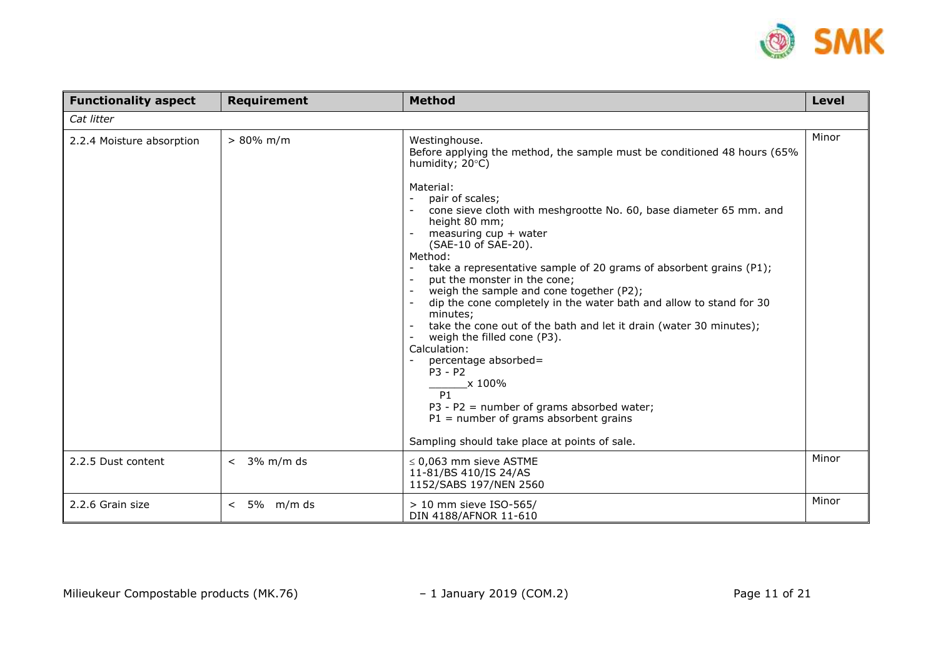

| <b>Functionality aspect</b> | <b>Requirement</b>    | <b>Method</b>                                                                                                                                                                                                                                                                                                                                                                                                                                                                                                                                                                                                                                                                                                                                                                                           | <b>Level</b> |
|-----------------------------|-----------------------|---------------------------------------------------------------------------------------------------------------------------------------------------------------------------------------------------------------------------------------------------------------------------------------------------------------------------------------------------------------------------------------------------------------------------------------------------------------------------------------------------------------------------------------------------------------------------------------------------------------------------------------------------------------------------------------------------------------------------------------------------------------------------------------------------------|--------------|
| Cat litter                  |                       |                                                                                                                                                                                                                                                                                                                                                                                                                                                                                                                                                                                                                                                                                                                                                                                                         |              |
| 2.2.4 Moisture absorption   | $> 80\%$ m/m          | Westinghouse.<br>Before applying the method, the sample must be conditioned 48 hours (65%<br>humidity; 20°C)<br>Material:<br>pair of scales;<br>cone sieve cloth with meshgrootte No. 60, base diameter 65 mm. and<br>height 80 mm;<br>measuring cup + water<br>(SAE-10 of SAE-20).<br>Method:<br>take a representative sample of 20 grams of absorbent grains (P1);<br>put the monster in the cone;<br>weigh the sample and cone together (P2);<br>dip the cone completely in the water bath and allow to stand for 30<br>minutes;<br>take the cone out of the bath and let it drain (water 30 minutes);<br>weigh the filled cone (P3).<br>Calculation:<br>percentage absorbed=<br>$P3 - P2$<br>x 100%<br>P1<br>$P3 - P2$ = number of grams absorbed water;<br>$P1$ = number of grams absorbent grains | Minor        |
|                             |                       | Sampling should take place at points of sale.                                                                                                                                                                                                                                                                                                                                                                                                                                                                                                                                                                                                                                                                                                                                                           |              |
| 2.2.5 Dust content          | 3% m/m ds<br>$\prec$  | $\leq$ 0,063 mm sieve ASTME<br>11-81/BS 410/IS 24/AS<br>1152/SABS 197/NEN 2560                                                                                                                                                                                                                                                                                                                                                                                                                                                                                                                                                                                                                                                                                                                          | Minor        |
| 2.2.6 Grain size            | $5\%$ m/m ds<br>$\lt$ | > 10 mm sieve ISO-565/<br>DIN 4188/AFNOR 11-610                                                                                                                                                                                                                                                                                                                                                                                                                                                                                                                                                                                                                                                                                                                                                         | Minor        |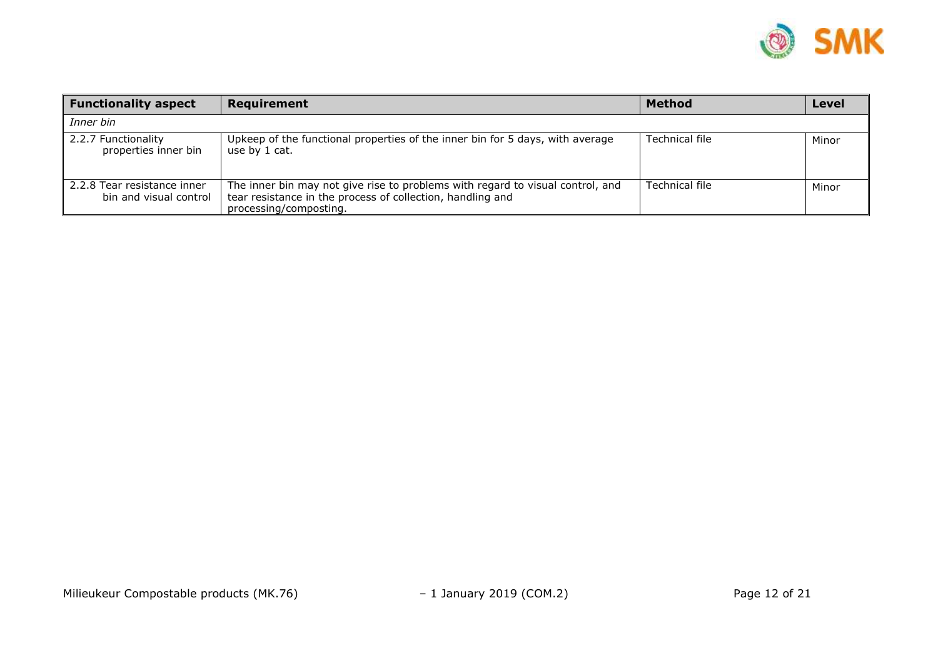

| <b>Functionality aspect</b>                           | Requirement                                                                                                                                                            | <b>Method</b>  | <b>Level</b> |
|-------------------------------------------------------|------------------------------------------------------------------------------------------------------------------------------------------------------------------------|----------------|--------------|
| Inner bin                                             |                                                                                                                                                                        |                |              |
| 2.2.7 Functionality<br>properties inner bin           | Upkeep of the functional properties of the inner bin for 5 days, with average<br>use by 1 cat.                                                                         | Technical file | Minor        |
| 2.2.8 Tear resistance inner<br>bin and visual control | The inner bin may not give rise to problems with regard to visual control, and<br>tear resistance in the process of collection, handling and<br>processing/composting. | Technical file | Minor        |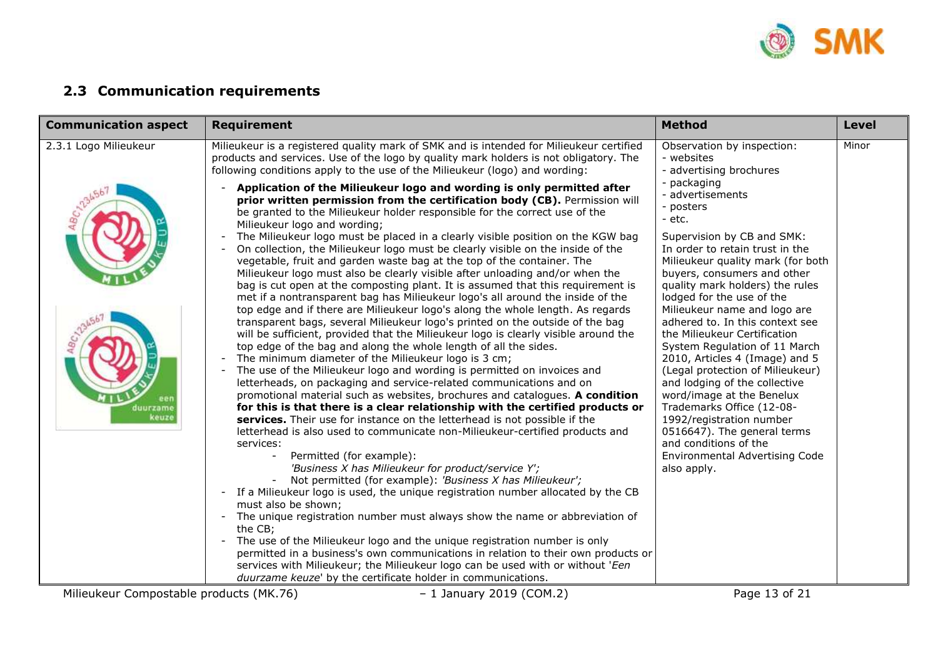

# <span id="page-10-0"></span>**2.3 Communication requirements**

| <b>Communication aspect</b> | <b>Requirement</b>                                                                                                                                                                                                                                                                                                                                                                                                                                                                                                                                                                                                                                                                                                                                                                                                                                                                                                                                                                                                                                                                                                                                                                                                                                                                                                                                                                                                                                                                                                                                                                                                                                                                                                                                                                                                                                                                                                                                                                                                                                                                                                                                                                                                                                                                                                                     | <b>Method</b>                                                                                                                                                                                                                                                                                                                                                                                                                                                                                                                                                                                                                                                                                                | <b>Level</b> |
|-----------------------------|----------------------------------------------------------------------------------------------------------------------------------------------------------------------------------------------------------------------------------------------------------------------------------------------------------------------------------------------------------------------------------------------------------------------------------------------------------------------------------------------------------------------------------------------------------------------------------------------------------------------------------------------------------------------------------------------------------------------------------------------------------------------------------------------------------------------------------------------------------------------------------------------------------------------------------------------------------------------------------------------------------------------------------------------------------------------------------------------------------------------------------------------------------------------------------------------------------------------------------------------------------------------------------------------------------------------------------------------------------------------------------------------------------------------------------------------------------------------------------------------------------------------------------------------------------------------------------------------------------------------------------------------------------------------------------------------------------------------------------------------------------------------------------------------------------------------------------------------------------------------------------------------------------------------------------------------------------------------------------------------------------------------------------------------------------------------------------------------------------------------------------------------------------------------------------------------------------------------------------------------------------------------------------------------------------------------------------------|--------------------------------------------------------------------------------------------------------------------------------------------------------------------------------------------------------------------------------------------------------------------------------------------------------------------------------------------------------------------------------------------------------------------------------------------------------------------------------------------------------------------------------------------------------------------------------------------------------------------------------------------------------------------------------------------------------------|--------------|
| 2.3.1 Logo Milieukeur       | Milieukeur is a registered quality mark of SMK and is intended for Milieukeur certified<br>products and services. Use of the logo by quality mark holders is not obligatory. The<br>following conditions apply to the use of the Milieukeur (logo) and wording:                                                                                                                                                                                                                                                                                                                                                                                                                                                                                                                                                                                                                                                                                                                                                                                                                                                                                                                                                                                                                                                                                                                                                                                                                                                                                                                                                                                                                                                                                                                                                                                                                                                                                                                                                                                                                                                                                                                                                                                                                                                                        | Observation by inspection:<br>- websites<br>- advertising brochures                                                                                                                                                                                                                                                                                                                                                                                                                                                                                                                                                                                                                                          | Minor        |
| duurzame<br>keuze           | Application of the Milieukeur logo and wording is only permitted after<br>prior written permission from the certification body (CB). Permission will<br>be granted to the Milieukeur holder responsible for the correct use of the<br>Milieukeur logo and wording;<br>The Milieukeur logo must be placed in a clearly visible position on the KGW bag<br>On collection, the Milieukeur logo must be clearly visible on the inside of the<br>vegetable, fruit and garden waste bag at the top of the container. The<br>Milieukeur logo must also be clearly visible after unloading and/or when the<br>bag is cut open at the composting plant. It is assumed that this requirement is<br>met if a nontransparent bag has Milieukeur logo's all around the inside of the<br>top edge and if there are Milieukeur logo's along the whole length. As regards<br>transparent bags, several Milieukeur logo's printed on the outside of the bag<br>will be sufficient, provided that the Milieukeur logo is clearly visible around the<br>top edge of the bag and along the whole length of all the sides.<br>The minimum diameter of the Milieukeur logo is 3 cm;<br>The use of the Milieukeur logo and wording is permitted on invoices and<br>letterheads, on packaging and service-related communications and on<br>promotional material such as websites, brochures and catalogues. A condition<br>for this is that there is a clear relationship with the certified products or<br>services. Their use for instance on the letterhead is not possible if the<br>letterhead is also used to communicate non-Milieukeur-certified products and<br>services:<br>Permitted (for example):<br>'Business X has Milieukeur for product/service Y';<br>Not permitted (for example): 'Business X has Milieukeur';<br>If a Milieukeur logo is used, the unique registration number allocated by the CB<br>must also be shown;<br>- The unique registration number must always show the name or abbreviation of<br>the CB;<br>- The use of the Milieukeur logo and the unique registration number is only<br>permitted in a business's own communications in relation to their own products or<br>services with Milieukeur; the Milieukeur logo can be used with or without 'Een<br>duurzame keuze' by the certificate holder in communications. | - packaging<br>- advertisements<br>- posters<br>- etc.<br>Supervision by CB and SMK:<br>In order to retain trust in the<br>Milieukeur quality mark (for both<br>buyers, consumers and other<br>quality mark holders) the rules<br>lodged for the use of the<br>Milieukeur name and logo are<br>adhered to. In this context see<br>the Milieukeur Certification<br>System Regulation of 11 March<br>2010, Articles 4 (Image) and 5<br>(Legal protection of Milieukeur)<br>and lodging of the collective<br>word/image at the Benelux<br>Trademarks Office (12-08-<br>1992/registration number<br>0516647). The general terms<br>and conditions of the<br><b>Environmental Advertising Code</b><br>also apply. |              |

Milieukeur Compostable products (MK.76) – 1 January 2019 (COM.2) Page 13 of 21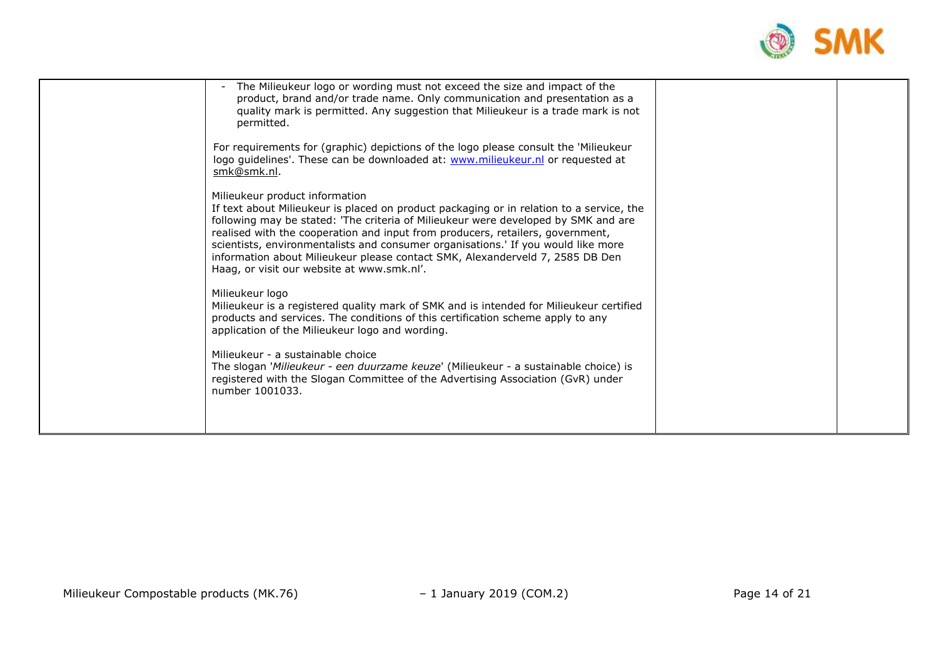

| The Milieukeur logo or wording must not exceed the size and impact of the<br>$\overline{\phantom{a}}$<br>product, brand and/or trade name. Only communication and presentation as a<br>quality mark is permitted. Any suggestion that Milieukeur is a trade mark is not<br>permitted.<br>For requirements for (graphic) depictions of the logo please consult the 'Milieukeur<br>logo guidelines'. These can be downloaded at: www.milieukeur.nl or requested at<br>smk@smk.nl.<br>Milieukeur product information<br>If text about Milieukeur is placed on product packaging or in relation to a service, the<br>following may be stated: 'The criteria of Milieukeur were developed by SMK and are<br>realised with the cooperation and input from producers, retailers, government,<br>scientists, environmentalists and consumer organisations.' If you would like more<br>information about Milieukeur please contact SMK, Alexanderveld 7, 2585 DB Den<br>Haag, or visit our website at www.smk.nl'.<br>Milieukeur logo<br>Milieukeur is a registered quality mark of SMK and is intended for Milieukeur certified<br>products and services. The conditions of this certification scheme apply to any<br>application of the Milieukeur logo and wording.<br>Milieukeur - a sustainable choice<br>The slogan 'Milieukeur - een duurzame keuze' (Milieukeur - a sustainable choice) is<br>registered with the Slogan Committee of the Advertising Association (GvR) under<br>number 1001033. |  |
|-------------------------------------------------------------------------------------------------------------------------------------------------------------------------------------------------------------------------------------------------------------------------------------------------------------------------------------------------------------------------------------------------------------------------------------------------------------------------------------------------------------------------------------------------------------------------------------------------------------------------------------------------------------------------------------------------------------------------------------------------------------------------------------------------------------------------------------------------------------------------------------------------------------------------------------------------------------------------------------------------------------------------------------------------------------------------------------------------------------------------------------------------------------------------------------------------------------------------------------------------------------------------------------------------------------------------------------------------------------------------------------------------------------------------------------------------------------------------------------------------|--|
|                                                                                                                                                                                                                                                                                                                                                                                                                                                                                                                                                                                                                                                                                                                                                                                                                                                                                                                                                                                                                                                                                                                                                                                                                                                                                                                                                                                                                                                                                                 |  |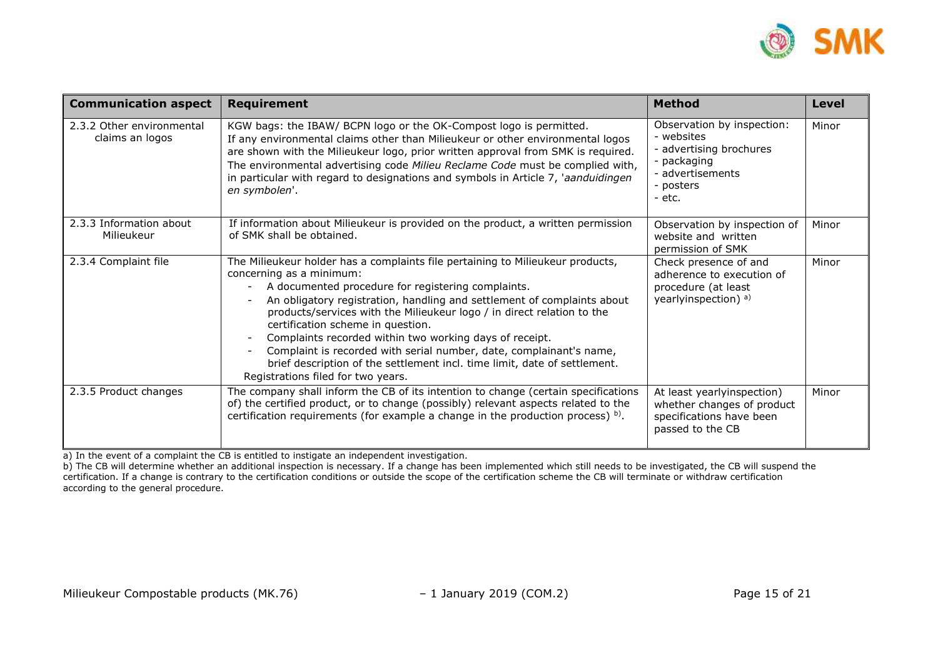

| <b>Communication aspect</b>                  | <b>Requirement</b>                                                                                                                                                                                                                                                                                                                                                                                                                                                                                                                                                                                                                          | <b>Method</b>                                                                                                                 | <b>Level</b> |
|----------------------------------------------|---------------------------------------------------------------------------------------------------------------------------------------------------------------------------------------------------------------------------------------------------------------------------------------------------------------------------------------------------------------------------------------------------------------------------------------------------------------------------------------------------------------------------------------------------------------------------------------------------------------------------------------------|-------------------------------------------------------------------------------------------------------------------------------|--------------|
| 2.3.2 Other environmental<br>claims an logos | KGW bags: the IBAW/ BCPN logo or the OK-Compost logo is permitted.<br>If any environmental claims other than Milieukeur or other environmental logos<br>are shown with the Milieukeur logo, prior written approval from SMK is required.<br>The environmental advertising code Milieu Reclame Code must be complied with,<br>in particular with regard to designations and symbols in Article 7, 'aanduidingen<br>en symbolen'.                                                                                                                                                                                                             | Observation by inspection:<br>- websites<br>- advertising brochures<br>- packaging<br>- advertisements<br>- posters<br>- etc. | Minor        |
| 2.3.3 Information about<br>Milieukeur        | If information about Milieukeur is provided on the product, a written permission<br>of SMK shall be obtained.                                                                                                                                                                                                                                                                                                                                                                                                                                                                                                                               | Observation by inspection of<br>website and written<br>permission of SMK                                                      | Minor        |
| 2.3.4 Complaint file                         | The Milieukeur holder has a complaints file pertaining to Milieukeur products,<br>concerning as a minimum:<br>A documented procedure for registering complaints.<br>$\overline{\phantom{0}}$<br>An obligatory registration, handling and settlement of complaints about<br>products/services with the Milieukeur logo / in direct relation to the<br>certification scheme in question.<br>Complaints recorded within two working days of receipt.<br>Complaint is recorded with serial number, date, complainant's name,<br>brief description of the settlement incl. time limit, date of settlement.<br>Registrations filed for two years. | Check presence of and<br>adherence to execution of<br>procedure (at least<br>yearlyinspection) <sup>a)</sup>                  | Minor        |
| 2.3.5 Product changes                        | The company shall inform the CB of its intention to change (certain specifications<br>of) the certified product, or to change (possibly) relevant aspects related to the<br>certification requirements (for example a change in the production process) $b$ ).                                                                                                                                                                                                                                                                                                                                                                              | At least yearlyinspection)<br>whether changes of product<br>specifications have been<br>passed to the CB                      | Minor        |

a) In the event of a complaint the CB is entitled to instigate an independent investigation.

b) The CB will determine whether an additional inspection is necessary. If a change has been implemented which still needs to be investigated, the CB will suspend the certification. If a change is contrary to the certification conditions or outside the scope of the certification scheme the CB will terminate or withdraw certification according to the general procedure.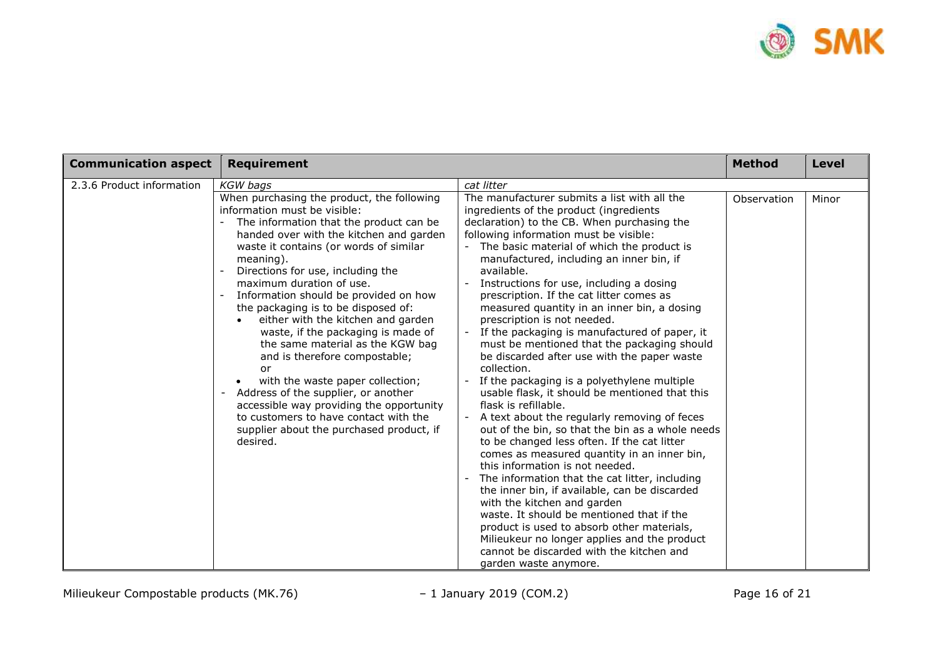

| <b>Communication aspect</b> | Requirement                                                                                                                                                                                                                                                                                                                                                                                                                                                                                                                                                                                                                                                                                                                                             |                                                                                                                                                                                                                                                                                                                                                                                                                                                                                                                                                                                                                                                                                                                                                                                                                                                                                                                                                                                                                                                                                                                                                                                                                                                                                                                                              | <b>Method</b> | Level |
|-----------------------------|---------------------------------------------------------------------------------------------------------------------------------------------------------------------------------------------------------------------------------------------------------------------------------------------------------------------------------------------------------------------------------------------------------------------------------------------------------------------------------------------------------------------------------------------------------------------------------------------------------------------------------------------------------------------------------------------------------------------------------------------------------|----------------------------------------------------------------------------------------------------------------------------------------------------------------------------------------------------------------------------------------------------------------------------------------------------------------------------------------------------------------------------------------------------------------------------------------------------------------------------------------------------------------------------------------------------------------------------------------------------------------------------------------------------------------------------------------------------------------------------------------------------------------------------------------------------------------------------------------------------------------------------------------------------------------------------------------------------------------------------------------------------------------------------------------------------------------------------------------------------------------------------------------------------------------------------------------------------------------------------------------------------------------------------------------------------------------------------------------------|---------------|-------|
| 2.3.6 Product information   | <b>KGW</b> bags                                                                                                                                                                                                                                                                                                                                                                                                                                                                                                                                                                                                                                                                                                                                         | cat litter                                                                                                                                                                                                                                                                                                                                                                                                                                                                                                                                                                                                                                                                                                                                                                                                                                                                                                                                                                                                                                                                                                                                                                                                                                                                                                                                   |               |       |
|                             | When purchasing the product, the following<br>information must be visible:<br>The information that the product can be<br>handed over with the kitchen and garden<br>waste it contains (or words of similar<br>meaning).<br>Directions for use, including the<br>maximum duration of use.<br>Information should be provided on how<br>the packaging is to be disposed of:<br>either with the kitchen and garden<br>waste, if the packaging is made of<br>the same material as the KGW bag<br>and is therefore compostable;<br>or<br>with the waste paper collection;<br>Address of the supplier, or another<br>accessible way providing the opportunity<br>to customers to have contact with the<br>supplier about the purchased product, if<br>desired. | The manufacturer submits a list with all the<br>ingredients of the product (ingredients<br>declaration) to the CB. When purchasing the<br>following information must be visible:<br>The basic material of which the product is<br>manufactured, including an inner bin, if<br>available.<br>Instructions for use, including a dosing<br>prescription. If the cat litter comes as<br>measured quantity in an inner bin, a dosing<br>prescription is not needed.<br>If the packaging is manufactured of paper, it<br>must be mentioned that the packaging should<br>be discarded after use with the paper waste<br>collection.<br>If the packaging is a polyethylene multiple<br>usable flask, it should be mentioned that this<br>flask is refillable.<br>A text about the regularly removing of feces<br>out of the bin, so that the bin as a whole needs<br>to be changed less often. If the cat litter<br>comes as measured quantity in an inner bin,<br>this information is not needed.<br>The information that the cat litter, including<br>the inner bin, if available, can be discarded<br>with the kitchen and garden<br>waste. It should be mentioned that if the<br>product is used to absorb other materials,<br>Milieukeur no longer applies and the product<br>cannot be discarded with the kitchen and<br>garden waste anymore. | Observation   | Minor |

Milieukeur Compostable products (MK.76) – 1 January 2019 (COM.2) – 1 January 2019 (COM.2)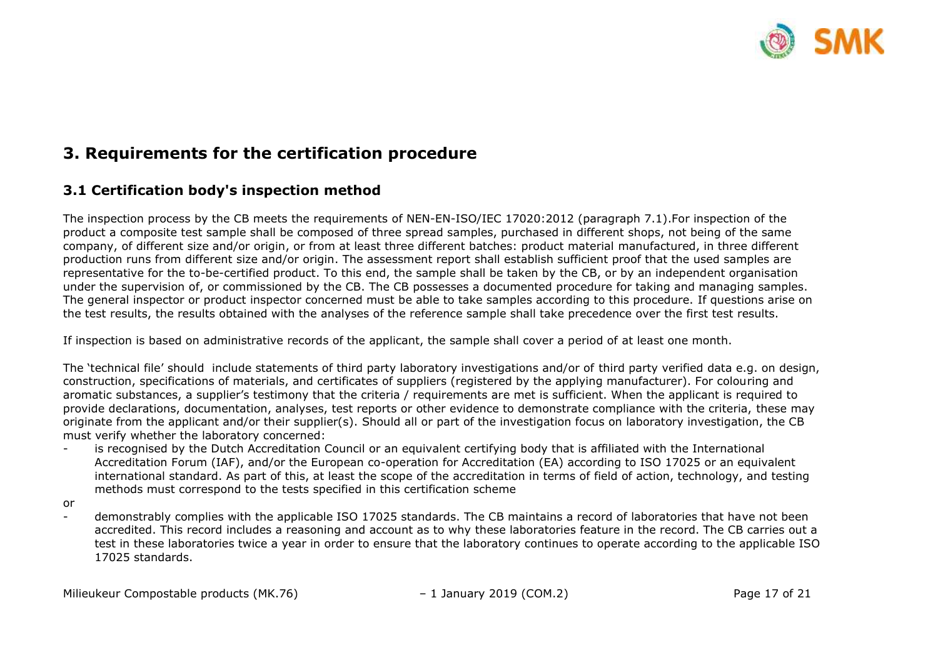

## <span id="page-14-0"></span>**3. Requirements for the certification procedure**

### <span id="page-14-1"></span>**3.1 Certification body's inspection method**

The inspection process by the CB meets the requirements of NEN-EN-ISO/IEC 17020:2012 (paragraph 7.1).For inspection of the product a composite test sample shall be composed of three spread samples, purchased in different shops, not being of the same company, of different size and/or origin, or from at least three different batches: product material manufactured, in three different production runs from different size and/or origin. The assessment report shall establish sufficient proof that the used samples are representative for the to-be-certified product. To this end, the sample shall be taken by the CB, or by an independent organisation under the supervision of, or commissioned by the CB. The CB possesses a documented procedure for taking and managing samples. The general inspector or product inspector concerned must be able to take samples according to this procedure. If questions arise on the test results, the results obtained with the analyses of the reference sample shall take precedence over the first test results.

If inspection is based on administrative records of the applicant, the sample shall cover a period of at least one month.

The 'technical file' should include statements of third party laboratory investigations and/or of third party verified data e.g. on design, construction, specifications of materials, and certificates of suppliers (registered by the applying manufacturer). For colouring and aromatic substances, a supplier's testimony that the criteria / requirements are met is sufficient. When the applicant is required to provide declarations, documentation, analyses, test reports or other evidence to demonstrate compliance with the criteria, these may originate from the applicant and/or their supplier(s). Should all or part of the investigation focus on laboratory investigation, the CB must verify whether the laboratory concerned:

- is recognised by the Dutch Accreditation Council or an equivalent certifying body that is affiliated with the International Accreditation Forum (IAF), and/or the European co-operation for Accreditation (EA) according to ISO 17025 or an equivalent international standard. As part of this, at least the scope of the accreditation in terms of field of action, technology, and testing methods must correspond to the tests specified in this certification scheme
- or
- demonstrably complies with the applicable ISO 17025 standards. The CB maintains a record of laboratories that have not been accredited. This record includes a reasoning and account as to why these laboratories feature in the record. The CB carries out a test in these laboratories twice a year in order to ensure that the laboratory continues to operate according to the applicable ISO 17025 standards.